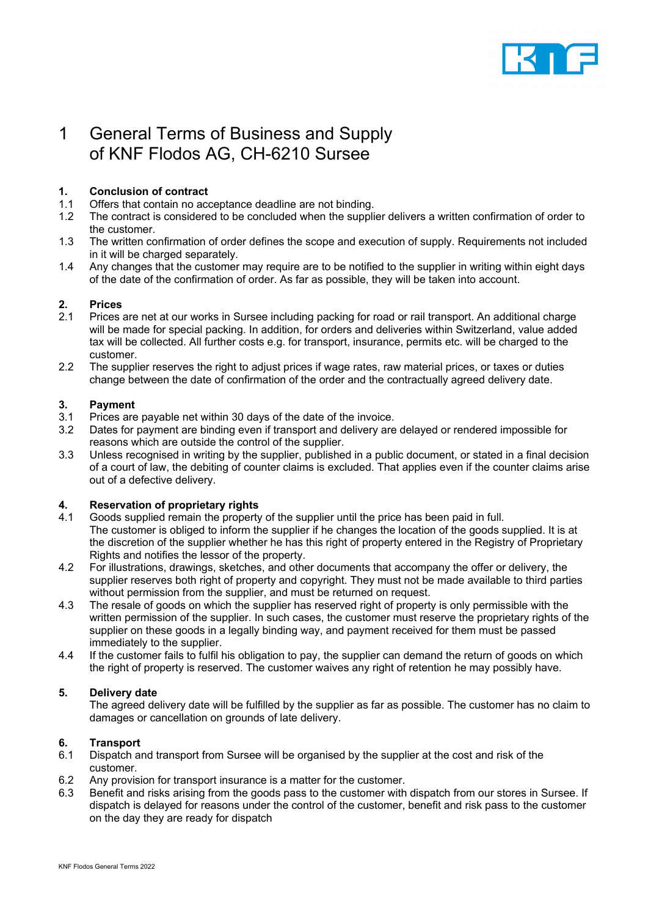

# 1 General Terms of Business and Supply of KNF Flodos AG, CH-6210 Sursee

# **1. Conclusion of contract**

- 1.1 Offers that contain no acceptance deadline are not binding.
- 1.2 The contract is considered to be concluded when the supplier delivers a written confirmation of order to the customer.
- 1.3 The written confirmation of order defines the scope and execution of supply. Requirements not included in it will be charged separately.
- 1.4 Any changes that the customer may require are to be notified to the supplier in writing within eight days of the date of the confirmation of order. As far as possible, they will be taken into account.

# **2. Prices**

- Prices are net at our works in Sursee including packing for road or rail transport. An additional charge will be made for special packing. In addition, for orders and deliveries within Switzerland, value added tax will be collected. All further costs e.g. for transport, insurance, permits etc. will be charged to the customer.
- 2.2 The supplier reserves the right to adiust prices if wage rates, raw material prices, or taxes or duties change between the date of confirmation of the order and the contractually agreed delivery date.

# **3. Payment**

- 3.1 Prices are payable net within 30 days of the date of the invoice.
- 3.2 Dates for payment are binding even if transport and delivery are delayed or rendered impossible for reasons which are outside the control of the supplier.
- 3.3 Unless recognised in writing by the supplier, published in a public document, or stated in a final decision of a court of law, the debiting of counter claims is excluded. That applies even if the counter claims arise out of a defective delivery.

# **4. Reservation of proprietary rights**

- 4.1 Goods supplied remain the property of the supplier until the price has been paid in full. The customer is obliged to inform the supplier if he changes the location of the goods supplied. It is at the discretion of the supplier whether he has this right of property entered in the Registry of Proprietary Rights and notifies the lessor of the property.
- 4.2 For illustrations, drawings, sketches, and other documents that accompany the offer or delivery, the supplier reserves both right of property and copyright. They must not be made available to third parties without permission from the supplier, and must be returned on request.
- 4.3 The resale of goods on which the supplier has reserved right of property is only permissible with the written permission of the supplier. In such cases, the customer must reserve the proprietary rights of the supplier on these goods in a legally binding way, and payment received for them must be passed immediately to the supplier.
- 4.4 If the customer fails to fulfil his obligation to pay, the supplier can demand the return of goods on which the right of property is reserved. The customer waives any right of retention he may possibly have.

# **5. Delivery date**

The agreed delivery date will be fulfilled by the supplier as far as possible. The customer has no claim to damages or cancellation on grounds of late delivery.

# **6. Transport**

- 6.1 Dispatch and transport from Sursee will be organised by the supplier at the cost and risk of the customer.
- 6.2 Any provision for transport insurance is a matter for the customer.<br>6.3 Benefit and risks arising from the goods pass to the customer with
- Benefit and risks arising from the goods pass to the customer with dispatch from our stores in Sursee. If dispatch is delayed for reasons under the control of the customer, benefit and risk pass to the customer on the day they are ready for dispatch